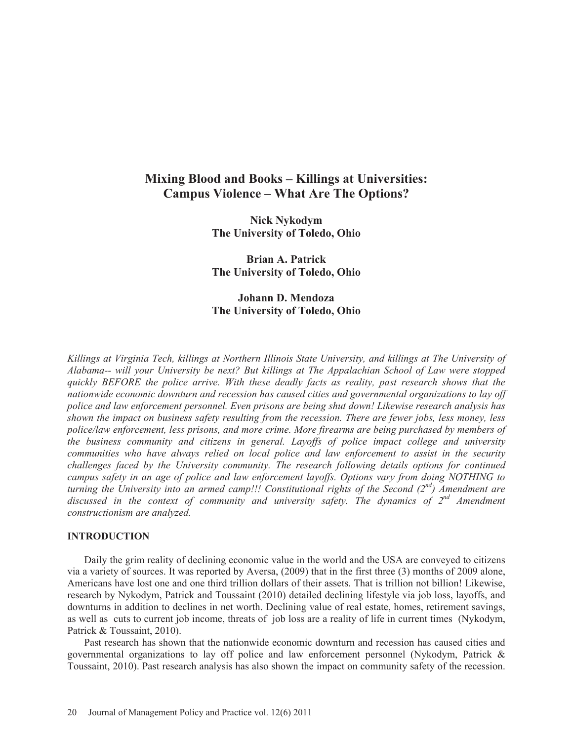# **Mixing Blood and Books – Killings at Universities: Campus Violence – What Are The Options?**

**Nick Nykodym The University of Toledo, Ohio** 

**Brian A. Patrick The University of Toledo, Ohio** 

# **Johann D. Mendoza The University of Toledo, Ohio**

*Killings at Virginia Tech, killings at Northern Illinois State University, and killings at The University of Alabama-- will your University be next? But killings at The Appalachian School of Law were stopped quickly BEFORE the police arrive. With these deadly facts as reality, past research shows that the nationwide economic downturn and recession has caused cities and governmental organizations to lay off police and law enforcement personnel. Even prisons are being shut down! Likewise research analysis has shown the impact on business safety resulting from the recession. There are fewer jobs, less money, less police/law enforcement, less prisons, and more crime. More firearms are being purchased by members of the business community and citizens in general. Layoffs of police impact college and university communities who have always relied on local police and law enforcement to assist in the security challenges faced by the University community. The research following details options for continued campus safety in an age of police and law enforcement layoffs. Options vary from doing NOTHING to turning the University into an armed camp!!! Constitutional rights of the Second (2nd) Amendment are*  discussed in the context of community and university safety. The dynamics of  $2^{nd}$  Amendment *constructionism are analyzed.* 

# **INTRODUCTION**

Daily the grim reality of declining economic value in the world and the USA are conveyed to citizens via a variety of sources. It was reported by Aversa, (2009) that in the first three (3) months of 2009 alone, Americans have lost one and one third trillion dollars of their assets. That is trillion not billion! Likewise, research by Nykodym, Patrick and Toussaint (2010) detailed declining lifestyle via job loss, layoffs, and downturns in addition to declines in net worth. Declining value of real estate, homes, retirement savings, as well as cuts to current job income, threats of job loss are a reality of life in current times (Nykodym, Patrick & Toussaint, 2010).

Past research has shown that the nationwide economic downturn and recession has caused cities and governmental organizations to lay off police and law enforcement personnel (Nykodym, Patrick & Toussaint, 2010). Past research analysis has also shown the impact on community safety of the recession.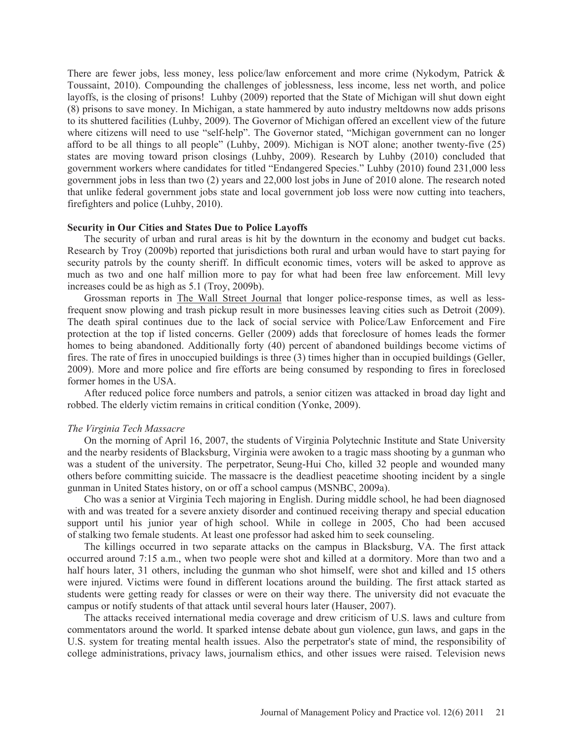There are fewer jobs, less money, less police/law enforcement and more crime (Nykodym, Patrick & Toussaint, 2010). Compounding the challenges of joblessness, less income, less net worth, and police layoffs, is the closing of prisons! Luhby (2009) reported that the State of Michigan will shut down eight (8) prisons to save money. In Michigan, a state hammered by auto industry meltdowns now adds prisons to its shuttered facilities (Luhby, 2009). The Governor of Michigan offered an excellent view of the future where citizens will need to use "self-help". The Governor stated, "Michigan government can no longer afford to be all things to all people" (Luhby, 2009). Michigan is NOT alone; another twenty-five (25) states are moving toward prison closings (Luhby, 2009). Research by Luhby (2010) concluded that government workers where candidates for titled "Endangered Species." Luhby (2010) found 231,000 less government jobs in less than two (2) years and 22,000 lost jobs in June of 2010 alone. The research noted that unlike federal government jobs state and local government job loss were now cutting into teachers, firefighters and police (Luhby, 2010).

### **Security in Our Cities and States Due to Police Layoffs**

The security of urban and rural areas is hit by the downturn in the economy and budget cut backs. Research by Troy (2009b) reported that jurisdictions both rural and urban would have to start paying for security patrols by the county sheriff. In difficult economic times, voters will be asked to approve as much as two and one half million more to pay for what had been free law enforcement. Mill levy increases could be as high as 5.1 (Troy, 2009b).

Grossman reports in The Wall Street Journal that longer police-response times, as well as lessfrequent snow plowing and trash pickup result in more businesses leaving cities such as Detroit (2009). The death spiral continues due to the lack of social service with Police/Law Enforcement and Fire protection at the top if listed concerns. Geller (2009) adds that foreclosure of homes leads the former homes to being abandoned. Additionally forty (40) percent of abandoned buildings become victims of fires. The rate of fires in unoccupied buildings is three (3) times higher than in occupied buildings (Geller, 2009). More and more police and fire efforts are being consumed by responding to fires in foreclosed former homes in the USA.

After reduced police force numbers and patrols, a senior citizen was attacked in broad day light and robbed. The elderly victim remains in critical condition (Yonke, 2009).

#### *The Virginia Tech Massacre*

On the morning of April 16, 2007, the students of Virginia Polytechnic Institute and State University and the nearby residents of Blacksburg, Virginia were awoken to a tragic mass shooting by a gunman who was a student of the university. The perpetrator, Seung-Hui Cho, killed 32 people and wounded many others before committing suicide. The massacre is the deadliest peacetime shooting incident by a single gunman in United States history, on or off a school campus (MSNBC, 2009a).

Cho was a senior at Virginia Tech majoring in English. During middle school, he had been diagnosed with and was treated for a severe anxiety disorder and continued receiving therapy and special education support until his junior year of high school. While in college in 2005, Cho had been accused of stalking two female students. At least one professor had asked him to seek counseling.

The killings occurred in two separate attacks on the campus in Blacksburg, VA. The first attack occurred around 7:15 a.m., when two people were shot and killed at a dormitory. More than two and a half hours later, 31 others, including the gunman who shot himself, were shot and killed and 15 others were injured. Victims were found in different locations around the building. The first attack started as students were getting ready for classes or were on their way there. The university did not evacuate the campus or notify students of that attack until several hours later (Hauser, 2007).

The attacks received international media coverage and drew criticism of U.S. laws and culture from commentators around the world. It sparked intense debate about gun violence, gun laws, and gaps in the U.S. system for treating mental health issues. Also the perpetrator's state of mind, the responsibility of college administrations, privacy laws, journalism ethics, and other issues were raised. Television news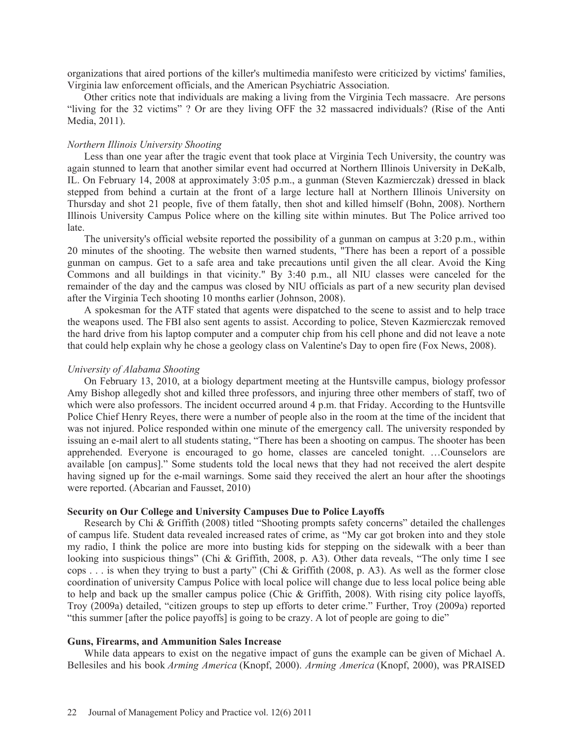organizations that aired portions of the killer's multimedia manifesto were criticized by victims' families, Virginia law enforcement officials, and the American Psychiatric Association.

Other critics note that individuals are making a living from the Virginia Tech massacre. Are persons "living for the 32 victims" ? Or are they living OFF the 32 massacred individuals? (Rise of the Anti Media, 2011).

# *Northern Illinois University Shooting*

Less than one year after the tragic event that took place at Virginia Tech University, the country was again stunned to learn that another similar event had occurred at Northern Illinois University in DeKalb, IL. On February 14, 2008 at approximately 3:05 p.m., a gunman (Steven Kazmierczak) dressed in black stepped from behind a curtain at the front of a large lecture hall at Northern Illinois University on Thursday and shot 21 people, five of them fatally, then shot and killed himself (Bohn, 2008). Northern Illinois University Campus Police where on the killing site within minutes. But The Police arrived too late.

The university's official website reported the possibility of a gunman on campus at 3:20 p.m., within 20 minutes of the shooting. The website then warned students, "There has been a report of a possible gunman on campus. Get to a safe area and take precautions until given the all clear. Avoid the King Commons and all buildings in that vicinity." By 3:40 p.m., all NIU classes were canceled for the remainder of the day and the campus was closed by NIU officials as part of a new security plan devised after the Virginia Tech shooting 10 months earlier (Johnson, 2008).

A spokesman for the ATF stated that agents were dispatched to the scene to assist and to help trace the weapons used. The FBI also sent agents to assist. According to police, Steven Kazmierczak removed the hard drive from his laptop computer and a computer chip from his cell phone and did not leave a note that could help explain why he chose a geology class on Valentine's Day to open fire (Fox News, 2008).

# *University of Alabama Shooting*

On February 13, 2010, at a biology department meeting at the Huntsville campus, biology professor Amy Bishop allegedly shot and killed three professors, and injuring three other members of staff, two of which were also professors. The incident occurred around 4 p.m. that Friday. According to the Huntsville Police Chief Henry Reyes, there were a number of people also in the room at the time of the incident that was not injured. Police responded within one minute of the emergency call. The university responded by issuing an e-mail alert to all students stating, "There has been a shooting on campus. The shooter has been apprehended. Everyone is encouraged to go home, classes are canceled tonight. …Counselors are available [on campus]." Some students told the local news that they had not received the alert despite having signed up for the e-mail warnings. Some said they received the alert an hour after the shootings were reported. (Abcarian and Fausset, 2010)

# **Security on Our College and University Campuses Due to Police Layoffs**

Research by Chi & Griffith (2008) titled "Shooting prompts safety concerns" detailed the challenges of campus life. Student data revealed increased rates of crime, as "My car got broken into and they stole my radio, I think the police are more into busting kids for stepping on the sidewalk with a beer than looking into suspicious things" (Chi & Griffith, 2008, p. A3). Other data reveals, "The only time I see cops . . . is when they trying to bust a party" (Chi & Griffith (2008, p. A3). As well as the former close coordination of university Campus Police with local police will change due to less local police being able to help and back up the smaller campus police (Chic & Griffith, 2008). With rising city police layoffs, Troy (2009a) detailed, "citizen groups to step up efforts to deter crime." Further, Troy (2009a) reported "this summer [after the police payoffs] is going to be crazy. A lot of people are going to die"

#### **Guns, Firearms, and Ammunition Sales Increase**

While data appears to exist on the negative impact of guns the example can be given of Michael A. Bellesiles and his book *Arming America* (Knopf, 2000). *Arming America* (Knopf, 2000), was PRAISED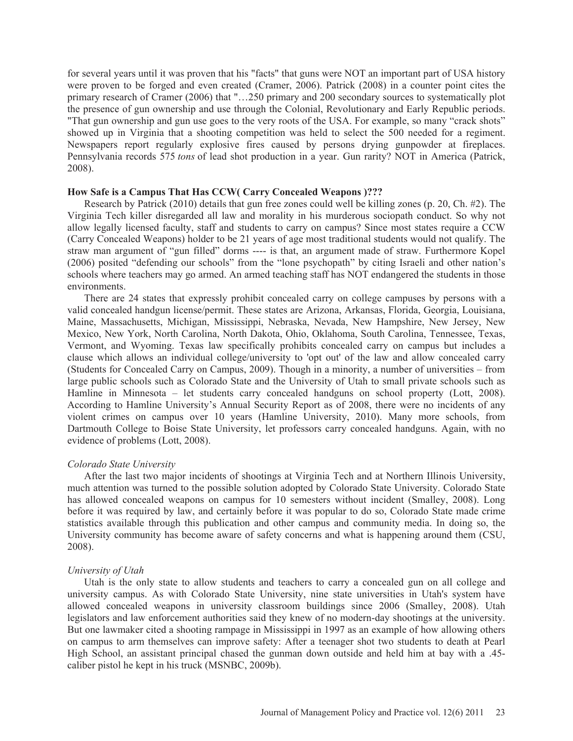for several years until it was proven that his "facts" that guns were NOT an important part of USA history were proven to be forged and even created (Cramer, 2006). Patrick (2008) in a counter point cites the primary research of Cramer (2006) that "…250 primary and 200 secondary sources to systematically plot the presence of gun ownership and use through the Colonial, Revolutionary and Early Republic periods. "That gun ownership and gun use goes to the very roots of the USA. For example, so many "crack shots" showed up in Virginia that a shooting competition was held to select the 500 needed for a regiment. Newspapers report regularly explosive fires caused by persons drying gunpowder at fireplaces. Pennsylvania records 575 *tons* of lead shot production in a year. Gun rarity? NOT in America (Patrick, 2008).

# **How Safe is a Campus That Has CCW( Carry Concealed Weapons )???**

Research by Patrick (2010) details that gun free zones could well be killing zones (p. 20, Ch. #2). The Virginia Tech killer disregarded all law and morality in his murderous sociopath conduct. So why not allow legally licensed faculty, staff and students to carry on campus? Since most states require a CCW (Carry Concealed Weapons) holder to be 21 years of age most traditional students would not qualify. The straw man argument of "gun filled" dorms ---- is that, an argument made of straw. Furthermore Kopel (2006) posited "defending our schools" from the "lone psychopath" by citing Israeli and other nation's schools where teachers may go armed. An armed teaching staff has NOT endangered the students in those environments.

There are 24 states that expressly prohibit concealed carry on college campuses by persons with a valid concealed handgun license/permit. These states are Arizona, Arkansas, Florida, Georgia, Louisiana, Maine, Massachusetts, Michigan, Mississippi, Nebraska, Nevada, New Hampshire, New Jersey, New Mexico, New York, North Carolina, North Dakota, Ohio, Oklahoma, South Carolina, Tennessee, Texas, Vermont, and Wyoming. Texas law specifically prohibits concealed carry on campus but includes a clause which allows an individual college/university to 'opt out' of the law and allow concealed carry (Students for Concealed Carry on Campus, 2009). Though in a minority, a number of universities – from large public schools such as Colorado State and the University of Utah to small private schools such as Hamline in Minnesota – let students carry concealed handguns on school property (Lott, 2008). According to Hamline University's Annual Security Report as of 2008, there were no incidents of any violent crimes on campus over 10 years (Hamline University, 2010). Many more schools, from Dartmouth College to Boise State University, let professors carry concealed handguns. Again, with no evidence of problems (Lott, 2008).

# *Colorado State University*

After the last two major incidents of shootings at Virginia Tech and at Northern Illinois University, much attention was turned to the possible solution adopted by Colorado State University. Colorado State has allowed concealed weapons on campus for 10 semesters without incident (Smalley, 2008). Long before it was required by law, and certainly before it was popular to do so, Colorado State made crime statistics available through this publication and other campus and community media. In doing so, the University community has become aware of safety concerns and what is happening around them (CSU, 2008).

#### *University of Utah*

Utah is the only state to allow students and teachers to carry a concealed gun on all college and university campus. As with Colorado State University, nine state universities in Utah's system have allowed concealed weapons in university classroom buildings since 2006 (Smalley, 2008). Utah legislators and law enforcement authorities said they knew of no modern-day shootings at the university. But one lawmaker cited a shooting rampage in Mississippi in 1997 as an example of how allowing others on campus to arm themselves can improve safety: After a teenager shot two students to death at Pearl High School, an assistant principal chased the gunman down outside and held him at bay with a .45 caliber pistol he kept in his truck (MSNBC, 2009b).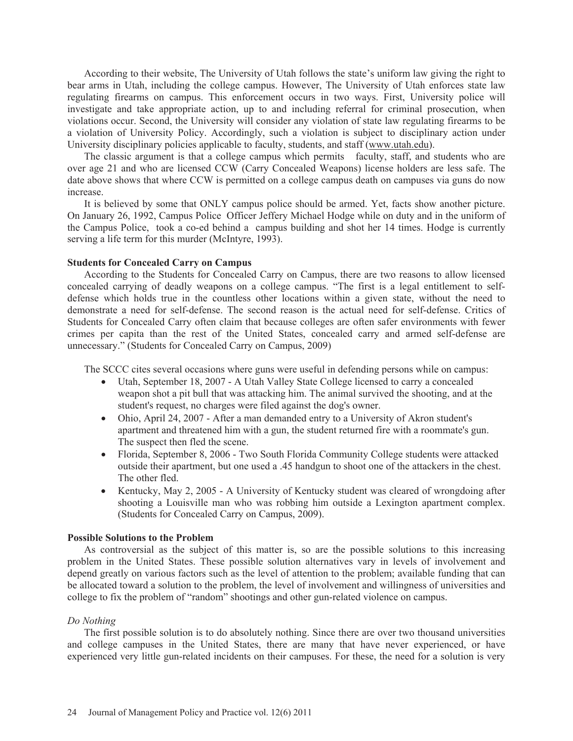According to their website, The University of Utah follows the state's uniform law giving the right to bear arms in Utah, including the college campus. However, The University of Utah enforces state law regulating firearms on campus. This enforcement occurs in two ways. First, University police will investigate and take appropriate action, up to and including referral for criminal prosecution, when violations occur. Second, the University will consider any violation of state law regulating firearms to be a violation of University Policy. Accordingly, such a violation is subject to disciplinary action under University disciplinary policies applicable to faculty, students, and staff (www.utah.edu).

The classic argument is that a college campus which permits faculty, staff, and students who are over age 21 and who are licensed CCW (Carry Concealed Weapons) license holders are less safe. The date above shows that where CCW is permitted on a college campus death on campuses via guns do now increase.

It is believed by some that ONLY campus police should be armed. Yet, facts show another picture. On January 26, 1992, Campus Police Officer Jeffery Michael Hodge while on duty and in the uniform of the Campus Police, took a co-ed behind a campus building and shot her 14 times. Hodge is currently serving a life term for this murder (McIntyre, 1993).

# **Students for Concealed Carry on Campus**

According to the Students for Concealed Carry on Campus, there are two reasons to allow licensed concealed carrying of deadly weapons on a college campus. "The first is a legal entitlement to selfdefense which holds true in the countless other locations within a given state, without the need to demonstrate a need for self-defense. The second reason is the actual need for self-defense. Critics of Students for Concealed Carry often claim that because colleges are often safer environments with fewer crimes per capita than the rest of the United States, concealed carry and armed self-defense are unnecessary." (Students for Concealed Carry on Campus, 2009)

The SCCC cites several occasions where guns were useful in defending persons while on campus:

- Utah, September 18, 2007 A Utah Valley State College licensed to carry a concealed weapon shot a pit bull that was attacking him. The animal survived the shooting, and at the student's request, no charges were filed against the dog's owner.
- Ohio, April 24, 2007 After a man demanded entry to a University of Akron student's apartment and threatened him with a gun, the student returned fire with a roommate's gun. The suspect then fled the scene.
- Florida, September 8, 2006 Two South Florida Community College students were attacked outside their apartment, but one used a .45 handgun to shoot one of the attackers in the chest. The other fled.
- Kentucky, May 2, 2005 A University of Kentucky student was cleared of wrongdoing after shooting a Louisville man who was robbing him outside a Lexington apartment complex. (Students for Concealed Carry on Campus, 2009).

# **Possible Solutions to the Problem**

As controversial as the subject of this matter is, so are the possible solutions to this increasing problem in the United States. These possible solution alternatives vary in levels of involvement and depend greatly on various factors such as the level of attention to the problem; available funding that can be allocated toward a solution to the problem, the level of involvement and willingness of universities and college to fix the problem of "random" shootings and other gun-related violence on campus.

# *Do Nothing*

The first possible solution is to do absolutely nothing. Since there are over two thousand universities and college campuses in the United States, there are many that have never experienced, or have experienced very little gun-related incidents on their campuses. For these, the need for a solution is very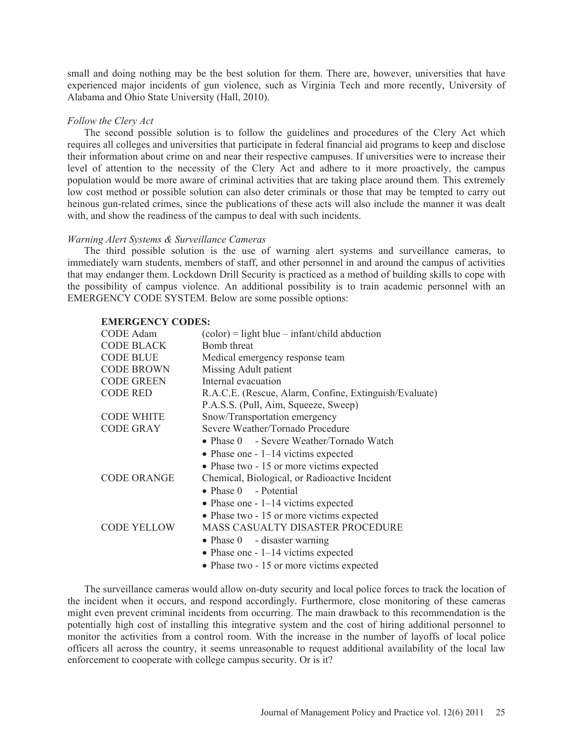small and doing nothing may be the best solution for them. There are, however, universities that have experienced major incidents of gun violence, such as Virginia Tech and more recently, University of Alabama and Ohio State University (Hall, 2010).

### *Follow the Clery Act*

The second possible solution is to follow the guidelines and procedures of the Clery Act which requires all colleges and universities that participate in federal financial aid programs to keep and disclose their information about crime on and near their respective campuses. If universities were to increase their level of attention to the necessity of the Clery Act and adhere to it more proactively, the campus population would be more aware of criminal activities that are taking place around them. This extremely low cost method or possible solution can also deter criminals or those that may be tempted to carry out heinous gun-related crimes, since the publications of these acts will also include the manner it was dealt with, and show the readiness of the campus to deal with such incidents.

#### *Warning Alert Systems & Surveillance Cameras*

The third possible solution is the use of warning alert systems and surveillance cameras, to immediately warn students, members of staff, and other personnel in and around the campus of activities that may endanger them. Lockdown Drill Security is practiced as a method of building skills to cope with the possibility of campus violence. An additional possibility is to train academic personnel with an EMERGENCY CODE SYSTEM. Below are some possible options:

#### **EMERGENCY CODES:**

| <b>CODE</b> Adam   | $(color) = light blue - infant/child abduction$        |
|--------------------|--------------------------------------------------------|
| <b>CODE BLACK</b>  | Bomb threat                                            |
| <b>CODE BLUE</b>   | Medical emergency response team                        |
| <b>CODE BROWN</b>  | Missing Adult patient                                  |
| <b>CODE GREEN</b>  | Internal evacuation                                    |
| <b>CODE RED</b>    | R.A.C.E. (Rescue, Alarm, Confine, Extinguish/Evaluate) |
|                    | P.A.S.S. (Pull, Aim, Squeeze, Sweep)                   |
| <b>CODE WHITE</b>  | Snow/Transportation emergency                          |
| <b>CODE GRAY</b>   | Severe Weather/Tornado Procedure                       |
|                    | • Phase 0 - Severe Weather/Tornado Watch               |
|                    | • Phase one $-1-14$ victims expected                   |
|                    | • Phase two - 15 or more victims expected              |
| <b>CODE ORANGE</b> | Chemical, Biological, or Radioactive Incident          |
|                    | • Phase $0$ - Potential                                |
|                    | • Phase one $-1-14$ victims expected                   |
|                    | • Phase two - 15 or more victims expected              |
| <b>CODE YELLOW</b> | <b>MASS CASUALTY DISASTER PROCEDURE</b>                |
|                    | • Phase $0 -$ disaster warning                         |
|                    | • Phase one $-1-14$ victims expected                   |
|                    | • Phase two - 15 or more victims expected              |
|                    |                                                        |

The surveillance cameras would allow on-duty security and local police forces to track the location of the incident when it occurs, and respond accordingly. Furthermore, close monitoring of these cameras might even prevent criminal incidents from occurring. The main drawback to this recommendation is the potentially high cost of installing this integrative system and the cost of hiring additional personnel to monitor the activities from a control room. With the increase in the number of layoffs of local police officers all across the country, it seems unreasonable to request additional availability of the local law enforcement to cooperate with college campus security. Or is it?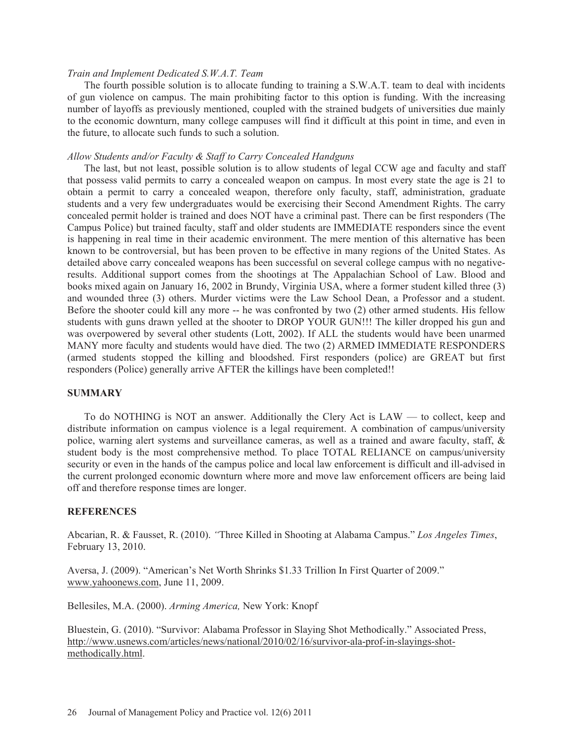# *Train and Implement Dedicated S.W.A.T. Team*

The fourth possible solution is to allocate funding to training a S.W.A.T. team to deal with incidents of gun violence on campus. The main prohibiting factor to this option is funding. With the increasing number of layoffs as previously mentioned, coupled with the strained budgets of universities due mainly to the economic downturn, many college campuses will find it difficult at this point in time, and even in the future, to allocate such funds to such a solution.

# *Allow Students and/or Faculty & Staff to Carry Concealed Handguns*

The last, but not least, possible solution is to allow students of legal CCW age and faculty and staff that possess valid permits to carry a concealed weapon on campus. In most every state the age is 21 to obtain a permit to carry a concealed weapon, therefore only faculty, staff, administration, graduate students and a very few undergraduates would be exercising their Second Amendment Rights. The carry concealed permit holder is trained and does NOT have a criminal past. There can be first responders (The Campus Police) but trained faculty, staff and older students are IMMEDIATE responders since the event is happening in real time in their academic environment. The mere mention of this alternative has been known to be controversial, but has been proven to be effective in many regions of the United States. As detailed above carry concealed weapons has been successful on several college campus with no negativeresults. Additional support comes from the shootings at The Appalachian School of Law. Blood and books mixed again on January 16, 2002 in Brundy, Virginia USA, where a former student killed three (3) and wounded three (3) others. Murder victims were the Law School Dean, a Professor and a student. Before the shooter could kill any more -- he was confronted by two (2) other armed students. His fellow students with guns drawn yelled at the shooter to DROP YOUR GUN!!! The killer dropped his gun and was overpowered by several other students (Lott, 2002). If ALL the students would have been unarmed MANY more faculty and students would have died. The two (2) ARMED IMMEDIATE RESPONDERS (armed students stopped the killing and bloodshed. First responders (police) are GREAT but first responders (Police) generally arrive AFTER the killings have been completed!!

# **SUMMARY**

To do NOTHING is NOT an answer. Additionally the Clery Act is LAW — to collect, keep and distribute information on campus violence is a legal requirement. A combination of campus/university police, warning alert systems and surveillance cameras, as well as a trained and aware faculty, staff, & student body is the most comprehensive method. To place TOTAL RELIANCE on campus/university security or even in the hands of the campus police and local law enforcement is difficult and ill-advised in the current prolonged economic downturn where more and move law enforcement officers are being laid off and therefore response times are longer.

# **REFERENCES**

Abcarian, R. & Fausset, R. (2010). *"*Three Killed in Shooting at Alabama Campus." *Los Angeles Times*, February 13, 2010.

Aversa, J. (2009). "American's Net Worth Shrinks \$1.33 Trillion In First Quarter of 2009." www.yahoonews.com, June 11, 2009.

Bellesiles, M.A. (2000). *Arming America,* New York: Knopf

Bluestein, G. (2010). "Survivor: Alabama Professor in Slaying Shot Methodically." Associated Press, http://www.usnews.com/articles/news/national/2010/02/16/survivor-ala-prof-in-slayings-shotmethodically.html.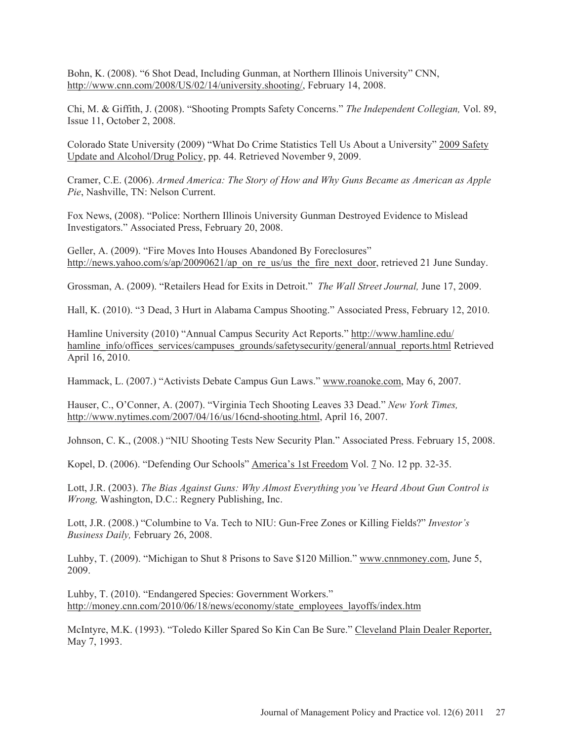Bohn, K. (2008). "6 Shot Dead, Including Gunman, at Northern Illinois University" CNN, http://www.cnn.com/2008/US/02/14/university.shooting/, February 14, 2008.

Chi, M. & Giffith, J. (2008). "Shooting Prompts Safety Concerns." *The Independent Collegian,* Vol. 89, Issue 11, October 2, 2008.

Colorado State University (2009) "What Do Crime Statistics Tell Us About a University" 2009 Safety Update and Alcohol/Drug Policy, pp. 44. Retrieved November 9, 2009.

Cramer, C.E. (2006). *Armed America: The Story of How and Why Guns Became as American as Apple Pie*, Nashville, TN: Nelson Current.

Fox News, (2008). "Police: Northern Illinois University Gunman Destroyed Evidence to Mislead Investigators." Associated Press, February 20, 2008.

Geller, A. (2009). "Fire Moves Into Houses Abandoned By Foreclosures" http://news.yahoo.com/s/ap/20090621/ap\_on\_re\_us/us\_the\_fire\_next\_door, retrieved 21 June Sunday.

Grossman, A. (2009). "Retailers Head for Exits in Detroit." *The Wall Street Journal,* June 17, 2009.

Hall, K. (2010). "3 Dead, 3 Hurt in Alabama Campus Shooting." Associated Press, February 12, 2010.

Hamline University (2010) "Annual Campus Security Act Reports." http://www.hamline.edu/ hamline\_info/offices\_services/campuses\_grounds/safetysecurity/general/annual\_reports.html Retrieved April 16, 2010.

Hammack, L. (2007.) "Activists Debate Campus Gun Laws." www.roanoke.com, May 6, 2007.

Hauser, C., O'Conner, A. (2007). "Virginia Tech Shooting Leaves 33 Dead." *New York Times,* http://www.nytimes.com/2007/04/16/us/16cnd-shooting.html, April 16, 2007.

Johnson, C. K., (2008.) "NIU Shooting Tests New Security Plan." Associated Press. February 15, 2008.

Kopel, D. (2006). "Defending Our Schools" America's 1st Freedom Vol. 7 No. 12 pp. 32-35.

Lott, J.R. (2003). *The Bias Against Guns: Why Almost Everything you've Heard About Gun Control is Wrong,* Washington, D.C.: Regnery Publishing, Inc.

Lott, J.R. (2008.) "Columbine to Va. Tech to NIU: Gun-Free Zones or Killing Fields?" *Investor's Business Daily,* February 26, 2008.

Luhby, T. (2009). "Michigan to Shut 8 Prisons to Save \$120 Million." www.cnnmoney.com, June 5, 2009.

Luhby, T. (2010). "Endangered Species: Government Workers." http://money.cnn.com/2010/06/18/news/economy/state\_employees\_layoffs/index.htm

McIntyre, M.K. (1993). "Toledo Killer Spared So Kin Can Be Sure." Cleveland Plain Dealer Reporter, May 7, 1993.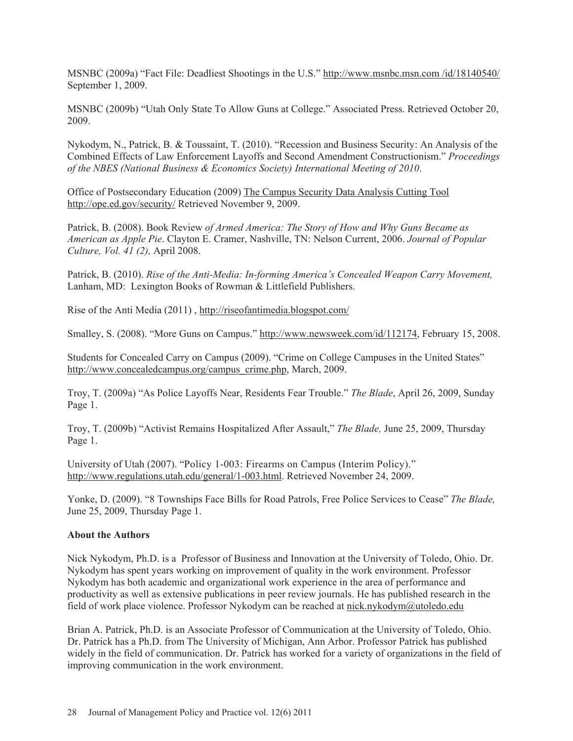MSNBC (2009a) "Fact File: Deadliest Shootings in the U.S." http://www.msnbc.msn.com /id/18140540/ September 1, 2009.

MSNBC (2009b) "Utah Only State To Allow Guns at College." Associated Press. Retrieved October 20, 2009.

Nykodym, N., Patrick, B. & Toussaint, T. (2010). "Recession and Business Security: An Analysis of the Combined Effects of Law Enforcement Layoffs and Second Amendment Constructionism." *Proceedings of the NBES (National Business & Economics Society) International Meeting of 2010*.

Office of Postsecondary Education (2009) The Campus Security Data Analysis Cutting Tool http://ope.ed.gov/security/ Retrieved November 9, 2009.

Patrick, B. (2008). Book Review *of Armed America: The Story of How and Why Guns Became as American as Apple Pie*. Clayton E. Cramer, Nashville, TN: Nelson Current, 2006. *Journal of Popular Culture, Vol. 41 (2),* April 2008.

Patrick, B. (2010). *Rise of the Anti-Media: In-forming America's Concealed Weapon Carry Movement,* Lanham, MD: Lexington Books of Rowman & Littlefield Publishers.

Rise of the Anti Media (2011) , http://riseofantimedia.blogspot.com/

Smalley, S. (2008). "More Guns on Campus." http://www.newsweek.com/id/112174, February 15, 2008.

Students for Concealed Carry on Campus (2009). "Crime on College Campuses in the United States" http://www.concealedcampus.org/campus\_crime.php, March, 2009.

Troy, T. (2009a) "As Police Layoffs Near, Residents Fear Trouble." *The Blade*, April 26, 2009, Sunday Page 1.

Troy, T. (2009b) "Activist Remains Hospitalized After Assault," *The Blade,* June 25, 2009, Thursday Page 1.

University of Utah (2007). "Policy 1-003: Firearms on Campus (Interim Policy)." http://www.regulations.utah.edu/general/1-003.html. Retrieved November 24, 2009.

Yonke, D. (2009). "8 Townships Face Bills for Road Patrols, Free Police Services to Cease" *The Blade,* June 25, 2009, Thursday Page 1.

# **About the Authors**

Nick Nykodym, Ph.D. is a Professor of Business and Innovation at the University of Toledo, Ohio. Dr. Nykodym has spent years working on improvement of quality in the work environment. Professor Nykodym has both academic and organizational work experience in the area of performance and productivity as well as extensive publications in peer review journals. He has published research in the field of work place violence. Professor Nykodym can be reached at nick.nykodym@utoledo.edu

Brian A. Patrick, Ph.D. is an Associate Professor of Communication at the University of Toledo, Ohio. Dr. Patrick has a Ph.D. from The University of Michigan, Ann Arbor. Professor Patrick has published widely in the field of communication. Dr. Patrick has worked for a variety of organizations in the field of improving communication in the work environment.